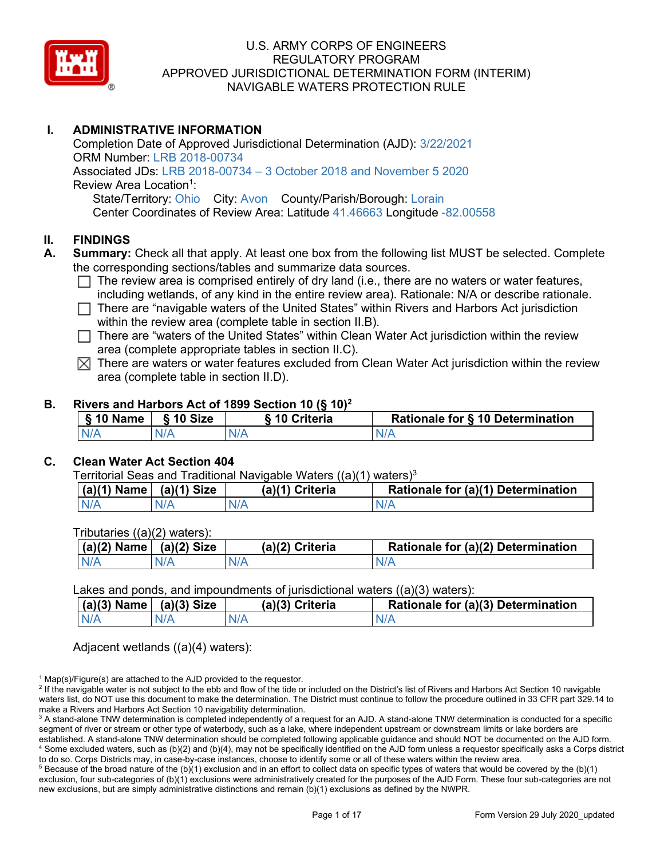

# **I. ADMINISTRATIVE INFORMATION**

Completion Date of Approved Jurisdictional Determination (AJD): 3/22/2021 ORM Number: LRB 2018-00734 Associated JDs: LRB 2018-00734 – 3 October 2018 and November 5 2020 Review Area Location<sup>1</sup>: State/Territory: Ohio City: Avon County/Parish/Borough: Lorain Center Coordinates of Review Area: Latitude 41.46663 Longitude -82.00558

# **II. FINDINGS**

- **A. Summary:** Check all that apply. At least one box from the following list MUST be selected. Complete the corresponding sections/tables and summarize data sources.
	- $\Box$  The review area is comprised entirely of dry land (i.e., there are no waters or water features, including wetlands, of any kind in the entire review area). Rationale: N/A or describe rationale.
	- $\Box$  There are "navigable waters of the United States" within Rivers and Harbors Act jurisdiction within the review area (complete table in section II.B).
	- $\Box$  There are "waters of the United States" within Clean Water Act jurisdiction within the review area (complete appropriate tables in section II.C).
	- $\boxtimes$  There are waters or water features excluded from Clean Water Act jurisdiction within the review area (complete table in section II.D).

## **B. Rivers and Harbors Act of 1899 Section 10 (§ 10)2**

| § 10 Name   § 10 Size | S 10 Criteria | Rationale for § 10 Determination |
|-----------------------|---------------|----------------------------------|
| N/A                   |               |                                  |

# **C. Clean Water Act Section 404**

Territorial Seas and Traditional Navigable Waters ((a)(1) waters)<sup>3</sup>

| $(a)(1)$ Name | (a)(1) Size | (a)(1) Criteria | Rationale for (a)(1) Determination |
|---------------|-------------|-----------------|------------------------------------|
| N/A           |             |                 |                                    |

Tributaries ((a)(2) waters):

| $ $ (a)(2) Name $ $ | (a)(2) Size | (a)(2) Criteria | Rationale for (a)(2) Determination |
|---------------------|-------------|-----------------|------------------------------------|
| N/A                 |             |                 |                                    |

Lakes and ponds, and impoundments of jurisdictional waters ((a)(3) waters):

|     | $(a)(3)$ Name $(a)(3)$ Size | (a)(3) Criteria | Rationale for (a)(3) Determination |
|-----|-----------------------------|-----------------|------------------------------------|
| N/A | N/A                         | N/A             | N/F                                |

Adjacent wetlands ((a)(4) waters):

 $1$  Map(s)/Figure(s) are attached to the AJD provided to the requestor.

<sup>2</sup> If the navigable water is not subject to the ebb and flow of the tide or included on the District's list of Rivers and Harbors Act Section 10 navigable waters list, do NOT use this document to make the determination. The District must continue to follow the procedure outlined in 33 CFR part 329.14 to make a Rivers and Harbors Act Section 10 navigability determination.

<sup>&</sup>lt;sup>3</sup> A stand-alone TNW determination is completed independently of a request for an AJD. A stand-alone TNW determination is conducted for a specific segment of river or stream or other type of waterbody, such as a lake, where independent upstream or downstream limits or lake borders are established. A stand-alone TNW determination should be completed following applicable guidance and should NOT be documented on the AJD form. <sup>4</sup> Some excluded waters, such as (b)(2) and (b)(4), may not be specifically identified on the AJD form unless a requestor specifically asks a Corps district to do so. Corps Districts may, in case-by-case instances, choose to identify some or all of these waters within the review area.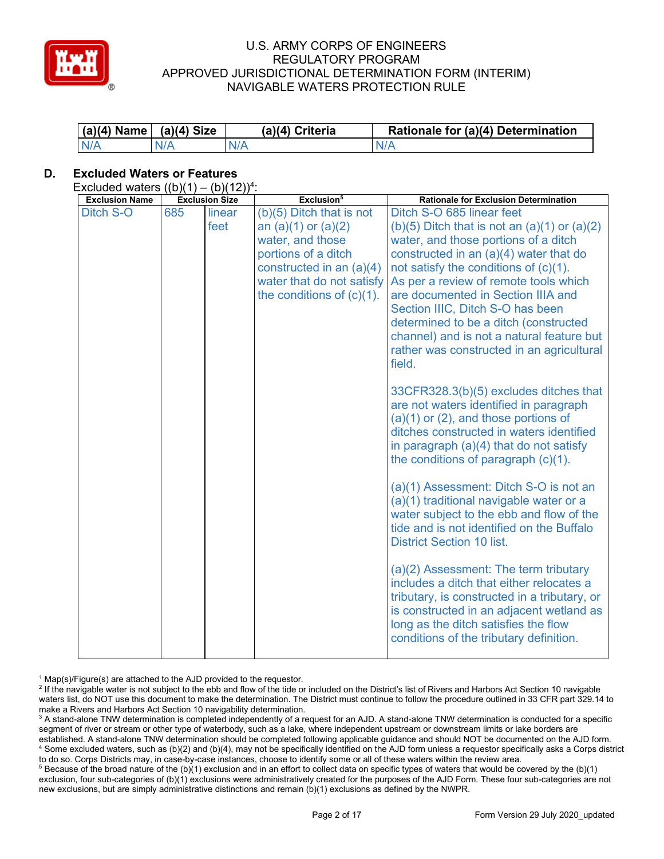

| $(a)(4)$ Name $(a)(4)$ Size |     | (a)(4) Criteria | Rationale for (a)(4) Determination |
|-----------------------------|-----|-----------------|------------------------------------|
| N/A                         | N/A | N/A             | N/A                                |

# **D. Excluded Waters or Features**

Excluded waters  $((b)(1) - (b)(12))^4$ :

| <b>Exclusion Name</b> |     | <b>Exclusion Size</b> | Exclusion <sup>5</sup>       | <b>Rationale for Exclusion Determination</b>                                    |
|-----------------------|-----|-----------------------|------------------------------|---------------------------------------------------------------------------------|
| Ditch S-O             | 685 | linear                | $(b)(5)$ Ditch that is not   | Ditch S-O 685 linear feet                                                       |
|                       |     | feet                  | an $(a)(1)$ or $(a)(2)$      | $(b)(5)$ Ditch that is not an $(a)(1)$ or $(a)(2)$                              |
|                       |     |                       | water, and those             | water, and those portions of a ditch                                            |
|                       |     |                       | portions of a ditch          | constructed in an $(a)(4)$ water that do                                        |
|                       |     |                       | constructed in an $(a)(4)$   | not satisfy the conditions of $(c)(1)$ .                                        |
|                       |     |                       | water that do not satisfy    | As per a review of remote tools which                                           |
|                       |     |                       | the conditions of $(c)(1)$ . | are documented in Section IIIA and                                              |
|                       |     |                       |                              | Section IIIC, Ditch S-O has been                                                |
|                       |     |                       |                              | determined to be a ditch (constructed                                           |
|                       |     |                       |                              | channel) and is not a natural feature but                                       |
|                       |     |                       |                              | rather was constructed in an agricultural<br>field.                             |
|                       |     |                       |                              |                                                                                 |
|                       |     |                       |                              | 33CFR328.3(b)(5) excludes ditches that                                          |
|                       |     |                       |                              | are not waters identified in paragraph                                          |
|                       |     |                       |                              | $(a)(1)$ or $(2)$ , and those portions of                                       |
|                       |     |                       |                              | ditches constructed in waters identified                                        |
|                       |     |                       |                              | in paragraph (a)(4) that do not satisfy                                         |
|                       |     |                       |                              | the conditions of paragraph $(c)(1)$ .                                          |
|                       |     |                       |                              |                                                                                 |
|                       |     |                       |                              | (a)(1) Assessment: Ditch S-O is not an                                          |
|                       |     |                       |                              | (a)(1) traditional navigable water or a                                         |
|                       |     |                       |                              | water subject to the ebb and flow of the                                        |
|                       |     |                       |                              | tide and is not identified on the Buffalo                                       |
|                       |     |                       |                              | <b>District Section 10 list.</b>                                                |
|                       |     |                       |                              |                                                                                 |
|                       |     |                       |                              | (a)(2) Assessment: The term tributary                                           |
|                       |     |                       |                              | includes a ditch that either relocates a                                        |
|                       |     |                       |                              | tributary, is constructed in a tributary, or                                    |
|                       |     |                       |                              | is constructed in an adjacent wetland as                                        |
|                       |     |                       |                              | long as the ditch satisfies the flow<br>conditions of the tributary definition. |
|                       |     |                       |                              |                                                                                 |

 $1$  Map(s)/Figure(s) are attached to the AJD provided to the requestor.

<sup>2</sup> If the navigable water is not subject to the ebb and flow of the tide or included on the District's list of Rivers and Harbors Act Section 10 navigable waters list, do NOT use this document to make the determination. The District must continue to follow the procedure outlined in 33 CFR part 329.14 to make a Rivers and Harbors Act Section 10 navigability determination.

<sup>3</sup> A stand-alone TNW determination is completed independently of a request for an AJD. A stand-alone TNW determination is conducted for a specific segment of river or stream or other type of waterbody, such as a lake, where independent upstream or downstream limits or lake borders are established. A stand-alone TNW determination should be completed following applicable guidance and should NOT be documented on the AJD form. <sup>4</sup> Some excluded waters, such as (b)(2) and (b)(4), may not be specifically identified on the AJD form unless a requestor specifically asks a Corps district to do so. Corps Districts may, in case-by-case instances, choose to identify some or all of these waters within the review area.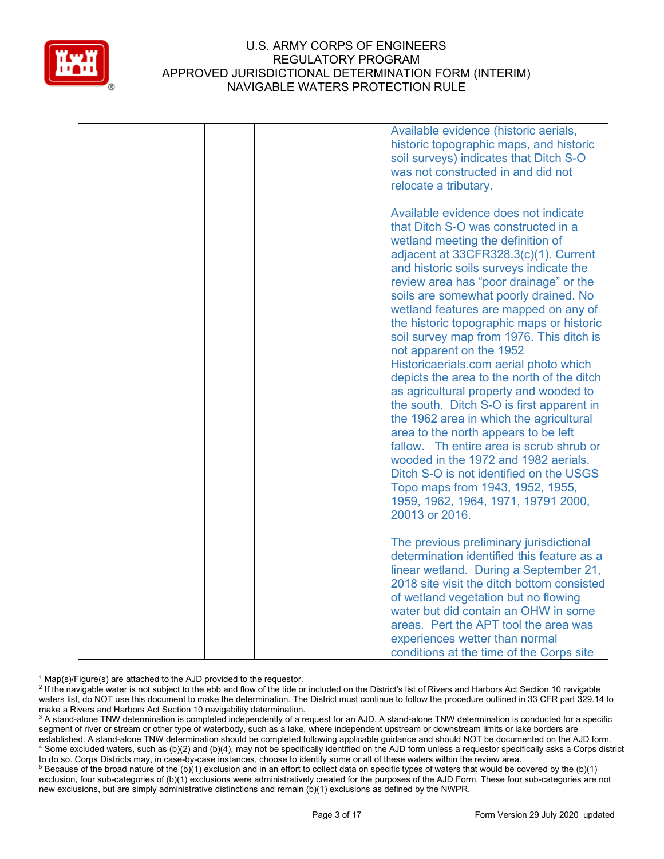

|  |  | Available evidence (historic aerials,                                                                                                                                                                                                                                                                                                                                                                                                                                                                                                                                                                                                                                                                                                                                                                                                                                                                                             |
|--|--|-----------------------------------------------------------------------------------------------------------------------------------------------------------------------------------------------------------------------------------------------------------------------------------------------------------------------------------------------------------------------------------------------------------------------------------------------------------------------------------------------------------------------------------------------------------------------------------------------------------------------------------------------------------------------------------------------------------------------------------------------------------------------------------------------------------------------------------------------------------------------------------------------------------------------------------|
|  |  | historic topographic maps, and historic<br>soil surveys) indicates that Ditch S-O<br>was not constructed in and did not                                                                                                                                                                                                                                                                                                                                                                                                                                                                                                                                                                                                                                                                                                                                                                                                           |
|  |  | relocate a tributary.                                                                                                                                                                                                                                                                                                                                                                                                                                                                                                                                                                                                                                                                                                                                                                                                                                                                                                             |
|  |  | Available evidence does not indicate<br>that Ditch S-O was constructed in a<br>wetland meeting the definition of<br>adjacent at 33CFR328.3(c)(1). Current<br>and historic soils surveys indicate the<br>review area has "poor drainage" or the<br>soils are somewhat poorly drained. No<br>wetland features are mapped on any of<br>the historic topographic maps or historic<br>soil survey map from 1976. This ditch is<br>not apparent on the 1952<br>Historicaerials.com aerial photo which<br>depicts the area to the north of the ditch<br>as agricultural property and wooded to<br>the south. Ditch S-O is first apparent in<br>the 1962 area in which the agricultural<br>area to the north appears to be left<br>fallow. Th entire area is scrub shrub or<br>wooded in the 1972 and 1982 aerials.<br>Ditch S-O is not identified on the USGS<br>Topo maps from 1943, 1952, 1955,<br>1959, 1962, 1964, 1971, 19791 2000, |
|  |  | 20013 or 2016.                                                                                                                                                                                                                                                                                                                                                                                                                                                                                                                                                                                                                                                                                                                                                                                                                                                                                                                    |
|  |  | The previous preliminary jurisdictional<br>determination identified this feature as a<br>linear wetland. During a September 21,<br>2018 site visit the ditch bottom consisted<br>of wetland vegetation but no flowing<br>water but did contain an OHW in some                                                                                                                                                                                                                                                                                                                                                                                                                                                                                                                                                                                                                                                                     |
|  |  | areas. Pert the APT tool the area was<br>experiences wetter than normal                                                                                                                                                                                                                                                                                                                                                                                                                                                                                                                                                                                                                                                                                                                                                                                                                                                           |
|  |  | conditions at the time of the Corps site                                                                                                                                                                                                                                                                                                                                                                                                                                                                                                                                                                                                                                                                                                                                                                                                                                                                                          |

 $1$  Map(s)/Figure(s) are attached to the AJD provided to the requestor.

<sup>2</sup> If the navigable water is not subject to the ebb and flow of the tide or included on the District's list of Rivers and Harbors Act Section 10 navigable waters list, do NOT use this document to make the determination. The District must continue to follow the procedure outlined in 33 CFR part 329.14 to make a Rivers and Harbors Act Section 10 navigability determination.

<sup>3</sup> A stand-alone TNW determination is completed independently of a request for an AJD. A stand-alone TNW determination is conducted for a specific segment of river or stream or other type of waterbody, such as a lake, where independent upstream or downstream limits or lake borders are established. A stand-alone TNW determination should be completed following applicable guidance and should NOT be documented on the AJD form. <sup>4</sup> Some excluded waters, such as (b)(2) and (b)(4), may not be specifically identified on the AJD form unless a requestor specifically asks a Corps district to do so. Corps Districts may, in case-by-case instances, choose to identify some or all of these waters within the review area.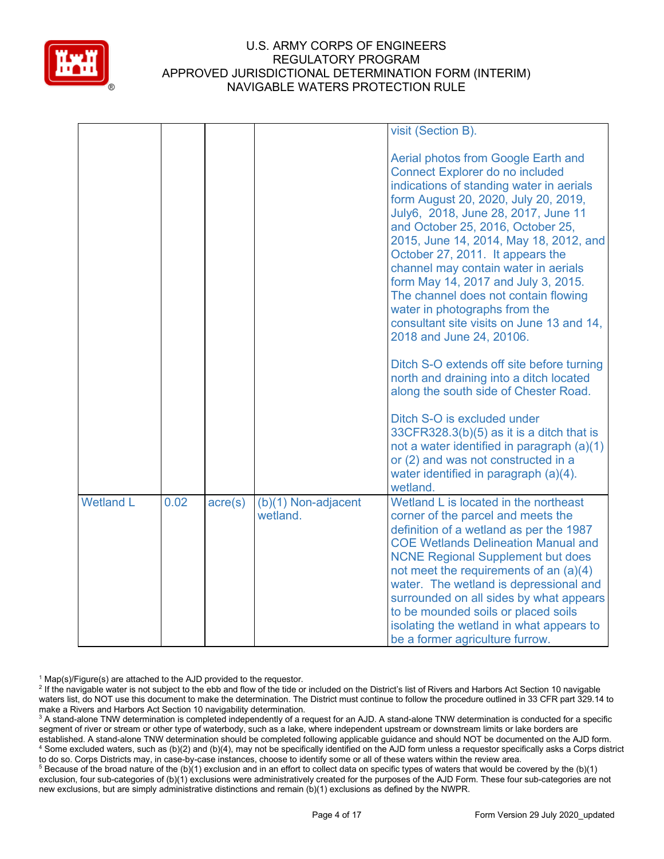

|                  |      |         |                                 | visit (Section B).                                                                                                                                                                                                                                                                                                                                                                                                                                                                                                                                                                                                                                                                                                                                                                                                                                                                                                    |
|------------------|------|---------|---------------------------------|-----------------------------------------------------------------------------------------------------------------------------------------------------------------------------------------------------------------------------------------------------------------------------------------------------------------------------------------------------------------------------------------------------------------------------------------------------------------------------------------------------------------------------------------------------------------------------------------------------------------------------------------------------------------------------------------------------------------------------------------------------------------------------------------------------------------------------------------------------------------------------------------------------------------------|
|                  |      |         |                                 | Aerial photos from Google Earth and<br><b>Connect Explorer do no included</b><br>indications of standing water in aerials<br>form August 20, 2020, July 20, 2019,<br>July6, 2018, June 28, 2017, June 11<br>and October 25, 2016, October 25,<br>2015, June 14, 2014, May 18, 2012, and<br>October 27, 2011. It appears the<br>channel may contain water in aerials<br>form May 14, 2017 and July 3, 2015.<br>The channel does not contain flowing<br>water in photographs from the<br>consultant site visits on June 13 and 14,<br>2018 and June 24, 20106.<br>Ditch S-O extends off site before turning<br>north and draining into a ditch located<br>along the south side of Chester Road.<br>Ditch S-O is excluded under<br>$33CFR328.3(b)(5)$ as it is a ditch that is<br>not a water identified in paragraph (a)(1)<br>or (2) and was not constructed in a<br>water identified in paragraph (a)(4).<br>wetland. |
| <b>Wetland L</b> | 0.02 | acre(s) | (b)(1) Non-adjacent<br>wetland. | Wetland L is located in the northeast<br>corner of the parcel and meets the<br>definition of a wetland as per the 1987<br><b>COE Wetlands Delineation Manual and</b><br><b>NCNE Regional Supplement but does</b><br>not meet the requirements of an (a)(4)<br>water. The wetland is depressional and<br>surrounded on all sides by what appears<br>to be mounded soils or placed soils<br>isolating the wetland in what appears to<br>be a former agriculture furrow.                                                                                                                                                                                                                                                                                                                                                                                                                                                 |

 $1$  Map(s)/Figure(s) are attached to the AJD provided to the requestor.

<sup>2</sup> If the navigable water is not subject to the ebb and flow of the tide or included on the District's list of Rivers and Harbors Act Section 10 navigable waters list, do NOT use this document to make the determination. The District must continue to follow the procedure outlined in 33 CFR part 329.14 to make a Rivers and Harbors Act Section 10 navigability determination.

<sup>3</sup> A stand-alone TNW determination is completed independently of a request for an AJD. A stand-alone TNW determination is conducted for a specific segment of river or stream or other type of waterbody, such as a lake, where independent upstream or downstream limits or lake borders are established. A stand-alone TNW determination should be completed following applicable guidance and should NOT be documented on the AJD form. <sup>4</sup> Some excluded waters, such as (b)(2) and (b)(4), may not be specifically identified on the AJD form unless a requestor specifically asks a Corps district to do so. Corps Districts may, in case-by-case instances, choose to identify some or all of these waters within the review area.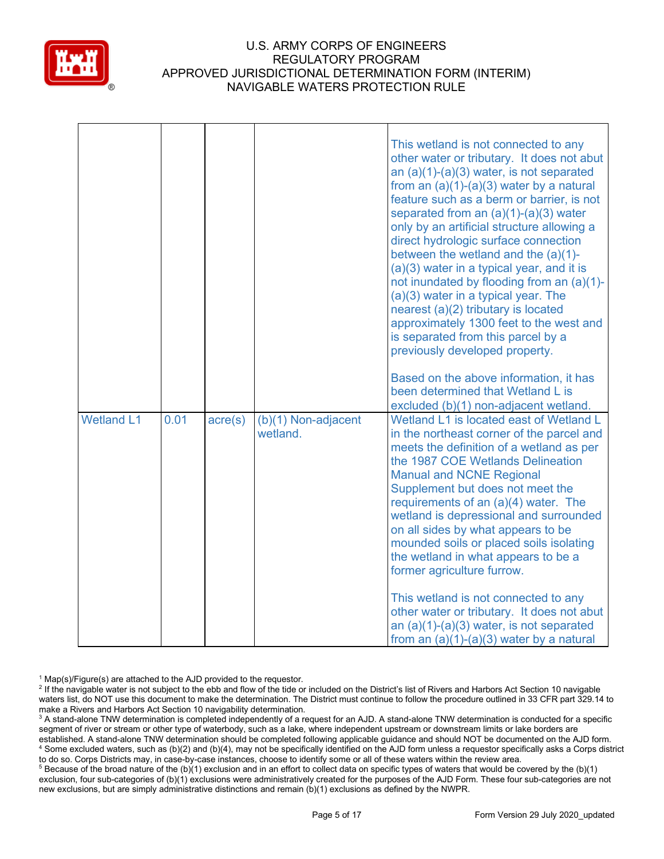

|                   |      |                  |                                   | This wetland is not connected to any<br>other water or tributary. It does not abut<br>an $(a)(1)-(a)(3)$ water, is not separated<br>from an $(a)(1)-(a)(3)$ water by a natural<br>feature such as a berm or barrier, is not<br>separated from an $(a)(1)-(a)(3)$ water<br>only by an artificial structure allowing a<br>direct hydrologic surface connection<br>between the wetland and the $(a)(1)$ -<br>(a)(3) water in a typical year, and it is<br>not inundated by flooding from an (a)(1)-<br>(a)(3) water in a typical year. The<br>nearest (a)(2) tributary is located<br>approximately 1300 feet to the west and<br>is separated from this parcel by a<br>previously developed property.<br>Based on the above information, it has |
|-------------------|------|------------------|-----------------------------------|---------------------------------------------------------------------------------------------------------------------------------------------------------------------------------------------------------------------------------------------------------------------------------------------------------------------------------------------------------------------------------------------------------------------------------------------------------------------------------------------------------------------------------------------------------------------------------------------------------------------------------------------------------------------------------------------------------------------------------------------|
|                   |      |                  |                                   | been determined that Wetland L is<br>excluded (b)(1) non-adjacent wetland.                                                                                                                                                                                                                                                                                                                                                                                                                                                                                                                                                                                                                                                                  |
| <b>Wetland L1</b> | 0.01 | $\text{acre}(s)$ | $(b)(1)$ Non-adjacent<br>wetland. | Wetland L1 is located east of Wetland L<br>in the northeast corner of the parcel and<br>meets the definition of a wetland as per<br>the 1987 COE Wetlands Delineation<br><b>Manual and NCNE Regional</b><br>Supplement but does not meet the<br>requirements of an (a)(4) water. The<br>wetland is depressional and surrounded<br>on all sides by what appears to be<br>mounded soils or placed soils isolating<br>the wetland in what appears to be a<br>former agriculture furrow.<br>This wetland is not connected to any                                                                                                                                                                                                                |
|                   |      |                  |                                   | other water or tributary. It does not abut<br>an $(a)(1)-(a)(3)$ water, is not separated<br>from an $(a)(1)-(a)(3)$ water by a natural                                                                                                                                                                                                                                                                                                                                                                                                                                                                                                                                                                                                      |

 $1$  Map(s)/Figure(s) are attached to the AJD provided to the requestor.

<sup>2</sup> If the navigable water is not subject to the ebb and flow of the tide or included on the District's list of Rivers and Harbors Act Section 10 navigable waters list, do NOT use this document to make the determination. The District must continue to follow the procedure outlined in 33 CFR part 329.14 to make a Rivers and Harbors Act Section 10 navigability determination.

<sup>3</sup> A stand-alone TNW determination is completed independently of a request for an AJD. A stand-alone TNW determination is conducted for a specific segment of river or stream or other type of waterbody, such as a lake, where independent upstream or downstream limits or lake borders are established. A stand-alone TNW determination should be completed following applicable guidance and should NOT be documented on the AJD form. <sup>4</sup> Some excluded waters, such as (b)(2) and (b)(4), may not be specifically identified on the AJD form unless a requestor specifically asks a Corps district to do so. Corps Districts may, in case-by-case instances, choose to identify some or all of these waters within the review area.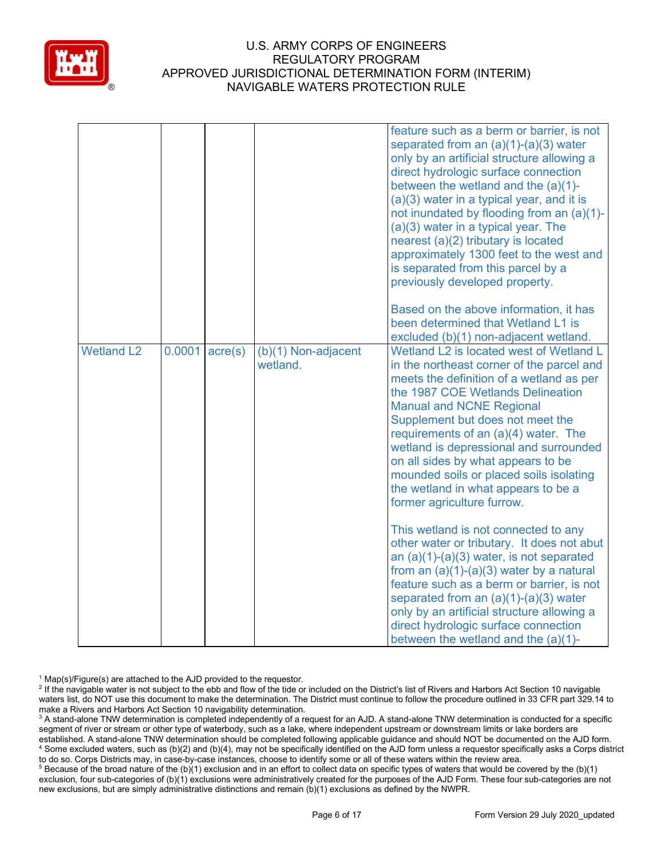

|                   |        |                  |                                 | feature such as a berm or barrier, is not<br>separated from an $(a)(1)-(a)(3)$ water<br>only by an artificial structure allowing a<br>direct hydrologic surface connection<br>between the wetland and the $(a)(1)$ -<br>(a)(3) water in a typical year, and it is<br>not inundated by flooding from an (a)(1)-<br>$(a)(3)$ water in a typical year. The<br>nearest (a)(2) tributary is located<br>approximately 1300 feet to the west and<br>is separated from this parcel by a<br>previously developed property.<br>Based on the above information, it has<br>been determined that Wetland L1 is<br>excluded (b)(1) non-adjacent wetland.                             |
|-------------------|--------|------------------|---------------------------------|------------------------------------------------------------------------------------------------------------------------------------------------------------------------------------------------------------------------------------------------------------------------------------------------------------------------------------------------------------------------------------------------------------------------------------------------------------------------------------------------------------------------------------------------------------------------------------------------------------------------------------------------------------------------|
| <b>Wetland L2</b> | 0.0001 | $\text{acre}(s)$ | (b)(1) Non-adjacent<br>wetland. | Wetland L2 is located west of Wetland L<br>in the northeast corner of the parcel and<br>meets the definition of a wetland as per<br>the 1987 COE Wetlands Delineation<br><b>Manual and NCNE Regional</b><br>Supplement but does not meet the<br>requirements of an (a)(4) water. The<br>wetland is depressional and surrounded<br>on all sides by what appears to be<br>mounded soils or placed soils isolating<br>the wetland in what appears to be a<br>former agriculture furrow.<br>This wetland is not connected to any<br>other water or tributary. It does not abut<br>an $(a)(1)-(a)(3)$ water, is not separated<br>from an $(a)(1)-(a)(3)$ water by a natural |
|                   |        |                  |                                 | feature such as a berm or barrier, is not<br>separated from an $(a)(1)-(a)(3)$ water<br>only by an artificial structure allowing a<br>direct hydrologic surface connection<br>between the wetland and the $(a)(1)$ -                                                                                                                                                                                                                                                                                                                                                                                                                                                   |

 $1$  Map(s)/Figure(s) are attached to the AJD provided to the requestor.

<sup>2</sup> If the navigable water is not subject to the ebb and flow of the tide or included on the District's list of Rivers and Harbors Act Section 10 navigable waters list, do NOT use this document to make the determination. The District must continue to follow the procedure outlined in 33 CFR part 329.14 to make a Rivers and Harbors Act Section 10 navigability determination.

<sup>3</sup> A stand-alone TNW determination is completed independently of a request for an AJD. A stand-alone TNW determination is conducted for a specific segment of river or stream or other type of waterbody, such as a lake, where independent upstream or downstream limits or lake borders are established. A stand-alone TNW determination should be completed following applicable guidance and should NOT be documented on the AJD form. <sup>4</sup> Some excluded waters, such as (b)(2) and (b)(4), may not be specifically identified on the AJD form unless a requestor specifically asks a Corps district to do so. Corps Districts may, in case-by-case instances, choose to identify some or all of these waters within the review area.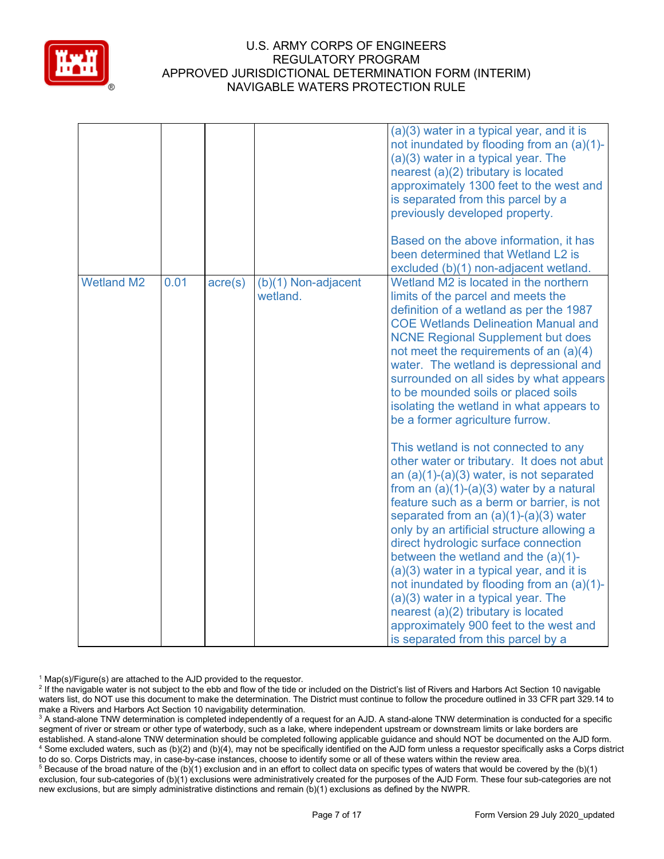

|                   |      |                  |                                   | (a)(3) water in a typical year, and it is<br>not inundated by flooding from an (a)(1)-<br>(a)(3) water in a typical year. The<br>nearest (a)(2) tributary is located<br>approximately 1300 feet to the west and<br>is separated from this parcel by a<br>previously developed property.<br>Based on the above information, it has<br>been determined that Wetland L2 is<br>excluded (b)(1) non-adjacent wetland.                                                                                                                                                                                                                                                                                                                                                                                                                                                                                                                                                                                                                                          |
|-------------------|------|------------------|-----------------------------------|-----------------------------------------------------------------------------------------------------------------------------------------------------------------------------------------------------------------------------------------------------------------------------------------------------------------------------------------------------------------------------------------------------------------------------------------------------------------------------------------------------------------------------------------------------------------------------------------------------------------------------------------------------------------------------------------------------------------------------------------------------------------------------------------------------------------------------------------------------------------------------------------------------------------------------------------------------------------------------------------------------------------------------------------------------------|
| <b>Wetland M2</b> | 0.01 | $\text{acre}(s)$ | $(b)(1)$ Non-adjacent<br>wetland. | Wetland M2 is located in the northern<br>limits of the parcel and meets the<br>definition of a wetland as per the 1987<br><b>COE Wetlands Delineation Manual and</b><br><b>NCNE Regional Supplement but does</b><br>not meet the requirements of an (a)(4)<br>water. The wetland is depressional and<br>surrounded on all sides by what appears<br>to be mounded soils or placed soils<br>isolating the wetland in what appears to<br>be a former agriculture furrow.<br>This wetland is not connected to any<br>other water or tributary. It does not abut<br>an $(a)(1)-(a)(3)$ water, is not separated<br>from an $(a)(1)-(a)(3)$ water by a natural<br>feature such as a berm or barrier, is not<br>separated from an $(a)(1)-(a)(3)$ water<br>only by an artificial structure allowing a<br>direct hydrologic surface connection<br>between the wetland and the $(a)(1)$ -<br>(a)(3) water in a typical year, and it is<br>not inundated by flooding from an (a)(1)-<br>$(a)(3)$ water in a typical year. The<br>nearest (a)(2) tributary is located |
|                   |      |                  |                                   | approximately 900 feet to the west and<br>is separated from this parcel by a                                                                                                                                                                                                                                                                                                                                                                                                                                                                                                                                                                                                                                                                                                                                                                                                                                                                                                                                                                              |

 $1$  Map(s)/Figure(s) are attached to the AJD provided to the requestor.

<sup>2</sup> If the navigable water is not subject to the ebb and flow of the tide or included on the District's list of Rivers and Harbors Act Section 10 navigable waters list, do NOT use this document to make the determination. The District must continue to follow the procedure outlined in 33 CFR part 329.14 to make a Rivers and Harbors Act Section 10 navigability determination.

<sup>3</sup> A stand-alone TNW determination is completed independently of a request for an AJD. A stand-alone TNW determination is conducted for a specific segment of river or stream or other type of waterbody, such as a lake, where independent upstream or downstream limits or lake borders are established. A stand-alone TNW determination should be completed following applicable guidance and should NOT be documented on the AJD form. <sup>4</sup> Some excluded waters, such as (b)(2) and (b)(4), may not be specifically identified on the AJD form unless a requestor specifically asks a Corps district to do so. Corps Districts may, in case-by-case instances, choose to identify some or all of these waters within the review area.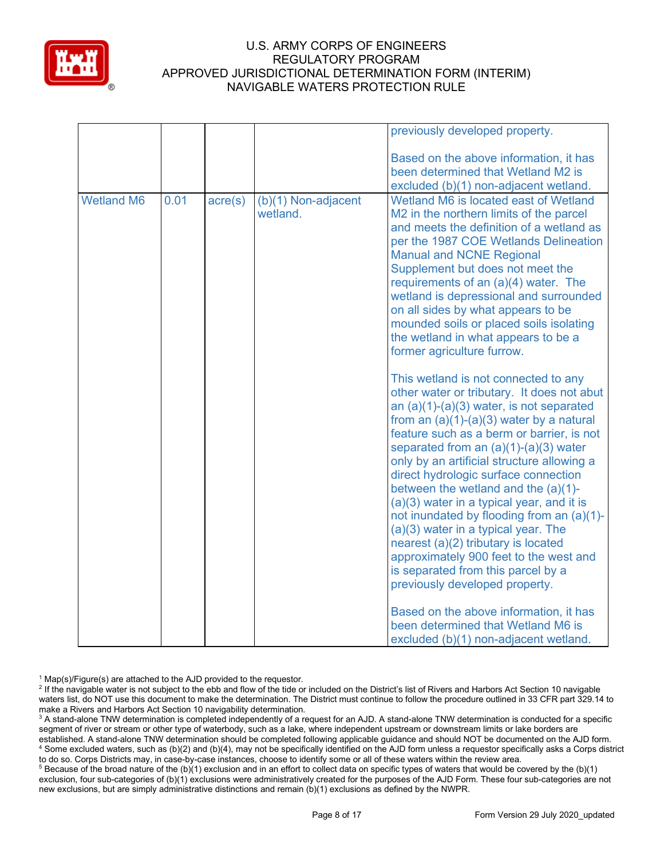

|                   |      |                  |                                 | previously developed property.                                                                                                                                                                                                                                                                                                                                                                                                                                                                                                                                                                                                                                                                                                               |
|-------------------|------|------------------|---------------------------------|----------------------------------------------------------------------------------------------------------------------------------------------------------------------------------------------------------------------------------------------------------------------------------------------------------------------------------------------------------------------------------------------------------------------------------------------------------------------------------------------------------------------------------------------------------------------------------------------------------------------------------------------------------------------------------------------------------------------------------------------|
|                   |      |                  |                                 | Based on the above information, it has<br>been determined that Wetland M2 is<br>excluded (b)(1) non-adjacent wetland.                                                                                                                                                                                                                                                                                                                                                                                                                                                                                                                                                                                                                        |
| <b>Wetland M6</b> | 0.01 | $\text{acre}(s)$ | (b)(1) Non-adjacent<br>wetland. | Wetland M6 is located east of Wetland<br>M <sub>2</sub> in the northern limits of the parcel<br>and meets the definition of a wetland as<br>per the 1987 COE Wetlands Delineation<br><b>Manual and NCNE Regional</b><br>Supplement but does not meet the<br>requirements of an (a)(4) water. The<br>wetland is depressional and surrounded<br>on all sides by what appears to be<br>mounded soils or placed soils isolating<br>the wetland in what appears to be a<br>former agriculture furrow.                                                                                                                                                                                                                                             |
|                   |      |                  |                                 | This wetland is not connected to any<br>other water or tributary. It does not abut<br>an $(a)(1)-(a)(3)$ water, is not separated<br>from an $(a)(1)-(a)(3)$ water by a natural<br>feature such as a berm or barrier, is not<br>separated from an $(a)(1)-(a)(3)$ water<br>only by an artificial structure allowing a<br>direct hydrologic surface connection<br>between the wetland and the $(a)(1)$ -<br>$(a)(3)$ water in a typical year, and it is<br>not inundated by flooding from an (a)(1)-<br>(a)(3) water in a typical year. The<br>nearest (a)(2) tributary is located<br>approximately 900 feet to the west and<br>is separated from this parcel by a<br>previously developed property.<br>Based on the above information, it has |
|                   |      |                  |                                 | been determined that Wetland M6 is<br>excluded (b)(1) non-adjacent wetland.                                                                                                                                                                                                                                                                                                                                                                                                                                                                                                                                                                                                                                                                  |

 $1$  Map(s)/Figure(s) are attached to the AJD provided to the requestor.

<sup>2</sup> If the navigable water is not subject to the ebb and flow of the tide or included on the District's list of Rivers and Harbors Act Section 10 navigable waters list, do NOT use this document to make the determination. The District must continue to follow the procedure outlined in 33 CFR part 329.14 to make a Rivers and Harbors Act Section 10 navigability determination.

<sup>3</sup> A stand-alone TNW determination is completed independently of a request for an AJD. A stand-alone TNW determination is conducted for a specific segment of river or stream or other type of waterbody, such as a lake, where independent upstream or downstream limits or lake borders are established. A stand-alone TNW determination should be completed following applicable guidance and should NOT be documented on the AJD form. <sup>4</sup> Some excluded waters, such as (b)(2) and (b)(4), may not be specifically identified on the AJD form unless a requestor specifically asks a Corps district to do so. Corps Districts may, in case-by-case instances, choose to identify some or all of these waters within the review area.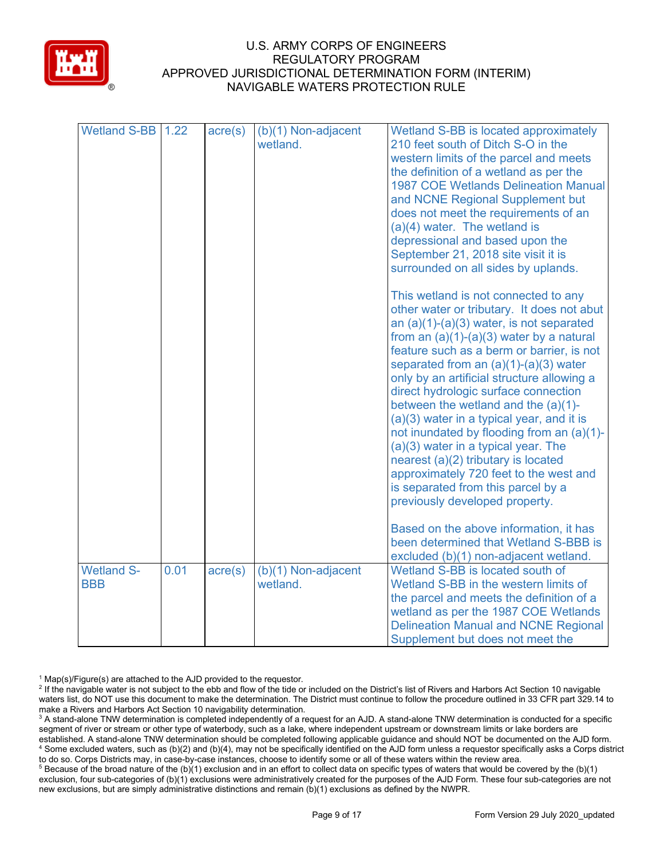

| Wetland S-BB      | 1.22 | $\text{acre}(s)$ | (b)(1) Non-adjacent<br>wetland. | Wetland S-BB is located approximately<br>210 feet south of Ditch S-O in the<br>western limits of the parcel and meets<br>the definition of a wetland as per the<br><b>1987 COE Wetlands Delineation Manual</b><br>and NCNE Regional Supplement but<br>does not meet the requirements of an<br>$(a)(4)$ water. The wetland is<br>depressional and based upon the<br>September 21, 2018 site visit it is<br>surrounded on all sides by uplands.<br>This wetland is not connected to any<br>other water or tributary. It does not abut<br>an $(a)(1)-(a)(3)$ water, is not separated<br>from an $(a)(1)-(a)(3)$ water by a natural<br>feature such as a berm or barrier, is not<br>separated from an $(a)(1)-(a)(3)$ water<br>only by an artificial structure allowing a<br>direct hydrologic surface connection<br>between the wetland and the $(a)(1)$ -<br>$(a)(3)$ water in a typical year, and it is<br>not inundated by flooding from an (a)(1)-<br>(a)(3) water in a typical year. The<br>nearest (a)(2) tributary is located<br>approximately 720 feet to the west and<br>is separated from this parcel by a<br>previously developed property.<br>Based on the above information, it has<br>been determined that Wetland S-BBB is<br>excluded (b)(1) non-adjacent wetland. |
|-------------------|------|------------------|---------------------------------|---------------------------------------------------------------------------------------------------------------------------------------------------------------------------------------------------------------------------------------------------------------------------------------------------------------------------------------------------------------------------------------------------------------------------------------------------------------------------------------------------------------------------------------------------------------------------------------------------------------------------------------------------------------------------------------------------------------------------------------------------------------------------------------------------------------------------------------------------------------------------------------------------------------------------------------------------------------------------------------------------------------------------------------------------------------------------------------------------------------------------------------------------------------------------------------------------------------------------------------------------------------------------------|
| <b>Wetland S-</b> | 0.01 | $\text{acre}(s)$ | (b)(1) Non-adjacent             | Wetland S-BB is located south of                                                                                                                                                                                                                                                                                                                                                                                                                                                                                                                                                                                                                                                                                                                                                                                                                                                                                                                                                                                                                                                                                                                                                                                                                                                |
| <b>BBB</b>        |      |                  | wetland.                        | Wetland S-BB in the western limits of                                                                                                                                                                                                                                                                                                                                                                                                                                                                                                                                                                                                                                                                                                                                                                                                                                                                                                                                                                                                                                                                                                                                                                                                                                           |
|                   |      |                  |                                 | the parcel and meets the definition of a                                                                                                                                                                                                                                                                                                                                                                                                                                                                                                                                                                                                                                                                                                                                                                                                                                                                                                                                                                                                                                                                                                                                                                                                                                        |
|                   |      |                  |                                 | wetland as per the 1987 COE Wetlands                                                                                                                                                                                                                                                                                                                                                                                                                                                                                                                                                                                                                                                                                                                                                                                                                                                                                                                                                                                                                                                                                                                                                                                                                                            |
|                   |      |                  |                                 | <b>Delineation Manual and NCNE Regional</b>                                                                                                                                                                                                                                                                                                                                                                                                                                                                                                                                                                                                                                                                                                                                                                                                                                                                                                                                                                                                                                                                                                                                                                                                                                     |
|                   |      |                  |                                 | Supplement but does not meet the                                                                                                                                                                                                                                                                                                                                                                                                                                                                                                                                                                                                                                                                                                                                                                                                                                                                                                                                                                                                                                                                                                                                                                                                                                                |

 $1$  Map(s)/Figure(s) are attached to the AJD provided to the requestor.

<sup>&</sup>lt;sup>2</sup> If the navigable water is not subject to the ebb and flow of the tide or included on the District's list of Rivers and Harbors Act Section 10 navigable waters list, do NOT use this document to make the determination. The District must continue to follow the procedure outlined in 33 CFR part 329.14 to make a Rivers and Harbors Act Section 10 navigability determination.

<sup>&</sup>lt;sup>3</sup> A stand-alone TNW determination is completed independently of a request for an AJD. A stand-alone TNW determination is conducted for a specific segment of river or stream or other type of waterbody, such as a lake, where independent upstream or downstream limits or lake borders are established. A stand-alone TNW determination should be completed following applicable guidance and should NOT be documented on the AJD form. <sup>4</sup> Some excluded waters, such as (b)(2) and (b)(4), may not be specifically identified on the AJD form unless a requestor specifically asks a Corps district to do so. Corps Districts may, in case-by-case instances, choose to identify some or all of these waters within the review area.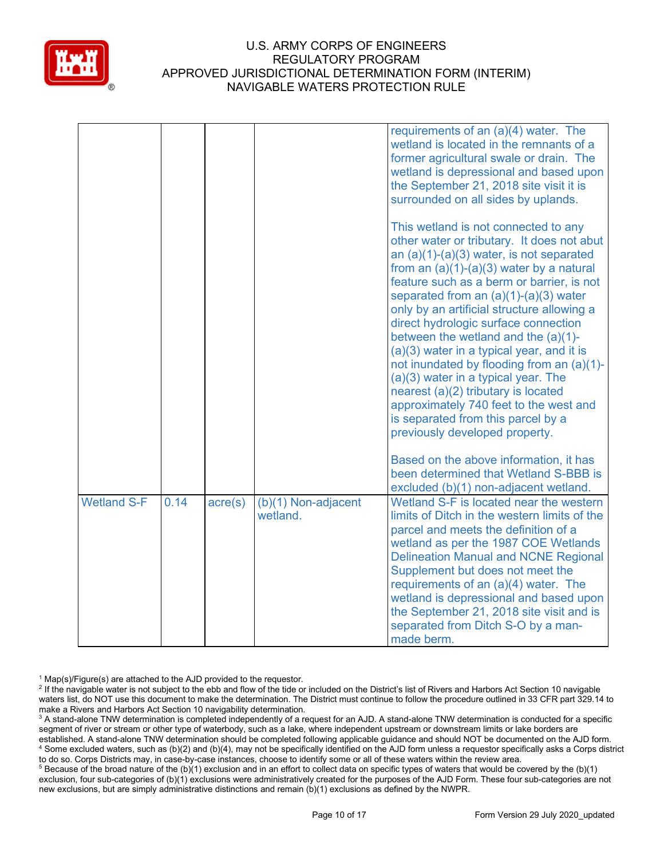

|                    |      |         |                                   | requirements of an (a)(4) water. The<br>wetland is located in the remnants of a<br>former agricultural swale or drain. The<br>wetland is depressional and based upon<br>the September 21, 2018 site visit it is<br>surrounded on all sides by uplands.                                                                                                                                                                                                                                                                                                                                                                                                                                          |
|--------------------|------|---------|-----------------------------------|-------------------------------------------------------------------------------------------------------------------------------------------------------------------------------------------------------------------------------------------------------------------------------------------------------------------------------------------------------------------------------------------------------------------------------------------------------------------------------------------------------------------------------------------------------------------------------------------------------------------------------------------------------------------------------------------------|
|                    |      |         |                                   | This wetland is not connected to any<br>other water or tributary. It does not abut<br>an $(a)(1)-(a)(3)$ water, is not separated<br>from an $(a)(1)-(a)(3)$ water by a natural<br>feature such as a berm or barrier, is not<br>separated from an $(a)(1)-(a)(3)$ water<br>only by an artificial structure allowing a<br>direct hydrologic surface connection<br>between the wetland and the (a)(1)-<br>(a)(3) water in a typical year, and it is<br>not inundated by flooding from an (a)(1)-<br>$(a)(3)$ water in a typical year. The<br>nearest (a)(2) tributary is located<br>approximately 740 feet to the west and<br>is separated from this parcel by a<br>previously developed property. |
|                    |      |         |                                   | Based on the above information, it has<br>been determined that Wetland S-BBB is<br>excluded (b)(1) non-adjacent wetland.                                                                                                                                                                                                                                                                                                                                                                                                                                                                                                                                                                        |
| <b>Wetland S-F</b> | 0.14 | acre(s) | $(b)(1)$ Non-adjacent<br>wetland. | Wetland S-F is located near the western<br>limits of Ditch in the western limits of the<br>parcel and meets the definition of a<br>wetland as per the 1987 COE Wetlands<br><b>Delineation Manual and NCNE Regional</b><br>Supplement but does not meet the<br>requirements of an (a)(4) water. The<br>wetland is depressional and based upon<br>the September 21, 2018 site visit and is<br>separated from Ditch S-O by a man-<br>made berm.                                                                                                                                                                                                                                                    |

 $1$  Map(s)/Figure(s) are attached to the AJD provided to the requestor.

<sup>2</sup> If the navigable water is not subject to the ebb and flow of the tide or included on the District's list of Rivers and Harbors Act Section 10 navigable waters list, do NOT use this document to make the determination. The District must continue to follow the procedure outlined in 33 CFR part 329.14 to make a Rivers and Harbors Act Section 10 navigability determination.

<sup>3</sup> A stand-alone TNW determination is completed independently of a request for an AJD. A stand-alone TNW determination is conducted for a specific segment of river or stream or other type of waterbody, such as a lake, where independent upstream or downstream limits or lake borders are established. A stand-alone TNW determination should be completed following applicable guidance and should NOT be documented on the AJD form. <sup>4</sup> Some excluded waters, such as (b)(2) and (b)(4), may not be specifically identified on the AJD form unless a requestor specifically asks a Corps district to do so. Corps Districts may, in case-by-case instances, choose to identify some or all of these waters within the review area.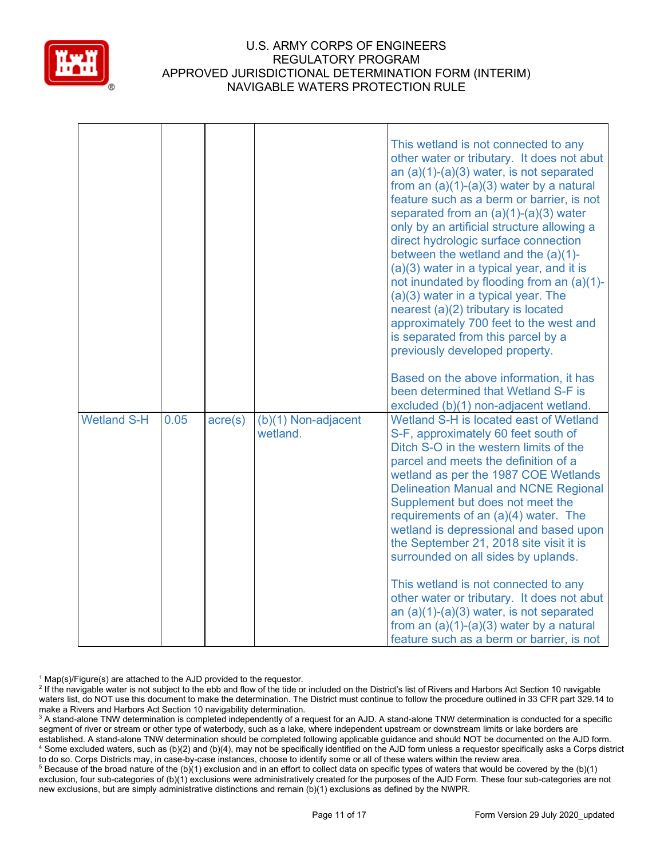

|                    |      |                  |                                   | This wetland is not connected to any<br>other water or tributary. It does not abut<br>an $(a)(1)-(a)(3)$ water, is not separated<br>from an $(a)(1)-(a)(3)$ water by a natural<br>feature such as a berm or barrier, is not<br>separated from an $(a)(1)-(a)(3)$ water<br>only by an artificial structure allowing a<br>direct hydrologic surface connection<br>between the wetland and the $(a)(1)$ -<br>(a)(3) water in a typical year, and it is<br>not inundated by flooding from an (a)(1)-<br>$(a)(3)$ water in a typical year. The<br>nearest (a)(2) tributary is located<br>approximately 700 feet to the west and<br>is separated from this parcel by a<br>previously developed property.<br>Based on the above information, it has |
|--------------------|------|------------------|-----------------------------------|----------------------------------------------------------------------------------------------------------------------------------------------------------------------------------------------------------------------------------------------------------------------------------------------------------------------------------------------------------------------------------------------------------------------------------------------------------------------------------------------------------------------------------------------------------------------------------------------------------------------------------------------------------------------------------------------------------------------------------------------|
| <b>Wetland S-H</b> | 0.05 | $\text{acre}(s)$ | $(b)(1)$ Non-adjacent<br>wetland. | been determined that Wetland S-F is<br>excluded (b)(1) non-adjacent wetland.<br>Wetland S-H is located east of Wetland<br>S-F, approximately 60 feet south of                                                                                                                                                                                                                                                                                                                                                                                                                                                                                                                                                                                |
|                    |      |                  |                                   | Ditch S-O in the western limits of the<br>parcel and meets the definition of a<br>wetland as per the 1987 COE Wetlands<br><b>Delineation Manual and NCNE Regional</b><br>Supplement but does not meet the<br>requirements of an (a)(4) water. The<br>wetland is depressional and based upon<br>the September 21, 2018 site visit it is<br>surrounded on all sides by uplands.                                                                                                                                                                                                                                                                                                                                                                |
|                    |      |                  |                                   | This wetland is not connected to any<br>other water or tributary. It does not abut<br>an $(a)(1)-(a)(3)$ water, is not separated<br>from an $(a)(1)-(a)(3)$ water by a natural<br>feature such as a berm or barrier, is not                                                                                                                                                                                                                                                                                                                                                                                                                                                                                                                  |

 $1$  Map(s)/Figure(s) are attached to the AJD provided to the requestor.

<sup>2</sup> If the navigable water is not subject to the ebb and flow of the tide or included on the District's list of Rivers and Harbors Act Section 10 navigable waters list, do NOT use this document to make the determination. The District must continue to follow the procedure outlined in 33 CFR part 329.14 to make a Rivers and Harbors Act Section 10 navigability determination.

<sup>3</sup> A stand-alone TNW determination is completed independently of a request for an AJD. A stand-alone TNW determination is conducted for a specific segment of river or stream or other type of waterbody, such as a lake, where independent upstream or downstream limits or lake borders are established. A stand-alone TNW determination should be completed following applicable guidance and should NOT be documented on the AJD form. <sup>4</sup> Some excluded waters, such as (b)(2) and (b)(4), may not be specifically identified on the AJD form unless a requestor specifically asks a Corps district to do so. Corps Districts may, in case-by-case instances, choose to identify some or all of these waters within the review area.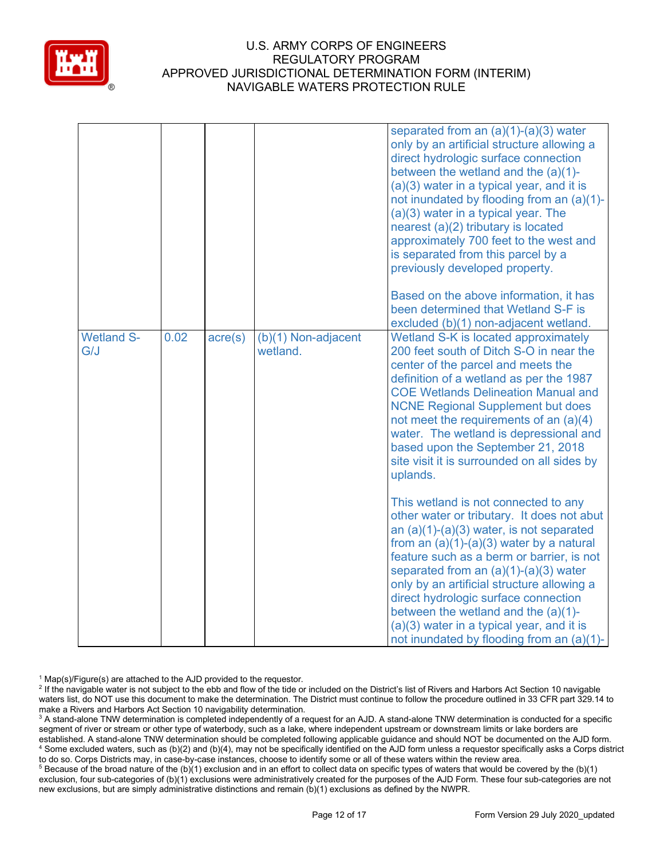

|                          |      |                  |                                   | separated from an $(a)(1)-(a)(3)$ water<br>only by an artificial structure allowing a<br>direct hydrologic surface connection<br>between the wetland and the $(a)(1)$ -<br>$(a)(3)$ water in a typical year, and it is<br>not inundated by flooding from an (a)(1)-<br>(a)(3) water in a typical year. The<br>nearest (a)(2) tributary is located<br>approximately 700 feet to the west and<br>is separated from this parcel by a<br>previously developed property.<br>Based on the above information, it has<br>been determined that Wetland S-F is<br>excluded (b)(1) non-adjacent wetland.                                                                                                                                                                                                                                                                                                                                                      |
|--------------------------|------|------------------|-----------------------------------|----------------------------------------------------------------------------------------------------------------------------------------------------------------------------------------------------------------------------------------------------------------------------------------------------------------------------------------------------------------------------------------------------------------------------------------------------------------------------------------------------------------------------------------------------------------------------------------------------------------------------------------------------------------------------------------------------------------------------------------------------------------------------------------------------------------------------------------------------------------------------------------------------------------------------------------------------|
| <b>Wetland S-</b><br>G/J | 0.02 | $\text{acre}(s)$ | $(b)(1)$ Non-adjacent<br>wetland. | Wetland S-K is located approximately<br>200 feet south of Ditch S-O in near the<br>center of the parcel and meets the<br>definition of a wetland as per the 1987<br><b>COE Wetlands Delineation Manual and</b><br><b>NCNE Regional Supplement but does</b><br>not meet the requirements of an (a)(4)<br>water. The wetland is depressional and<br>based upon the September 21, 2018<br>site visit it is surrounded on all sides by<br>uplands.<br>This wetland is not connected to any<br>other water or tributary. It does not abut<br>an $(a)(1)-(a)(3)$ water, is not separated<br>from an $(a)(1)-(a)(3)$ water by a natural<br>feature such as a berm or barrier, is not<br>separated from an $(a)(1)-(a)(3)$ water<br>only by an artificial structure allowing a<br>direct hydrologic surface connection<br>between the wetland and the $(a)(1)$ -<br>(a)(3) water in a typical year, and it is<br>not inundated by flooding from an (a)(1)- |

 $1$  Map(s)/Figure(s) are attached to the AJD provided to the requestor.

<sup>2</sup> If the navigable water is not subject to the ebb and flow of the tide or included on the District's list of Rivers and Harbors Act Section 10 navigable waters list, do NOT use this document to make the determination. The District must continue to follow the procedure outlined in 33 CFR part 329.14 to make a Rivers and Harbors Act Section 10 navigability determination.

<sup>3</sup> A stand-alone TNW determination is completed independently of a request for an AJD. A stand-alone TNW determination is conducted for a specific segment of river or stream or other type of waterbody, such as a lake, where independent upstream or downstream limits or lake borders are established. A stand-alone TNW determination should be completed following applicable guidance and should NOT be documented on the AJD form. <sup>4</sup> Some excluded waters, such as (b)(2) and (b)(4), may not be specifically identified on the AJD form unless a requestor specifically asks a Corps district to do so. Corps Districts may, in case-by-case instances, choose to identify some or all of these waters within the review area.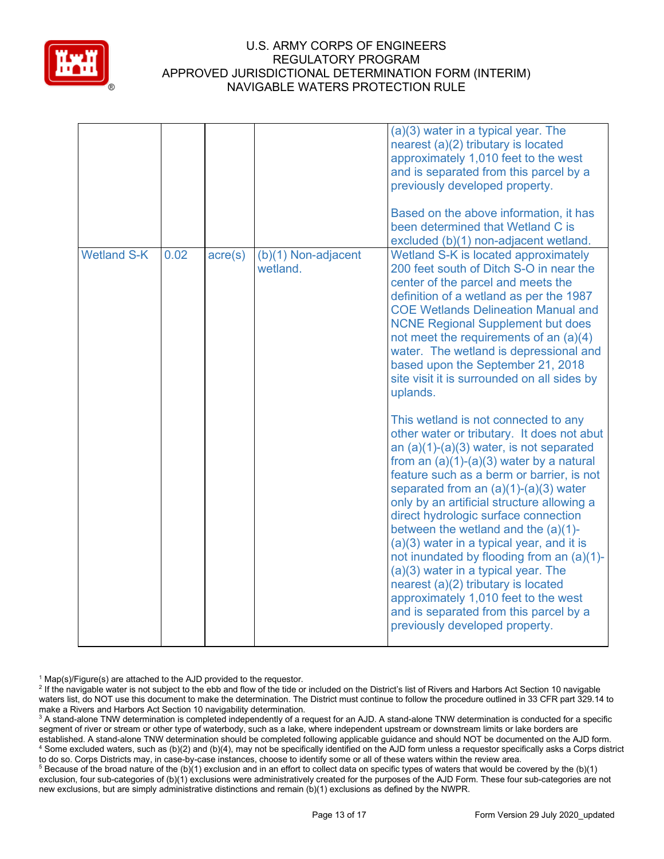

|                    |      |                  |                                 | $(a)(3)$ water in a typical year. The<br>nearest (a)(2) tributary is located<br>approximately 1,010 feet to the west<br>and is separated from this parcel by a<br>previously developed property.<br>Based on the above information, it has<br>been determined that Wetland C is<br>excluded (b)(1) non-adjacent wetland.                                                                                                                                                                                                                                                                                                                                                                           |
|--------------------|------|------------------|---------------------------------|----------------------------------------------------------------------------------------------------------------------------------------------------------------------------------------------------------------------------------------------------------------------------------------------------------------------------------------------------------------------------------------------------------------------------------------------------------------------------------------------------------------------------------------------------------------------------------------------------------------------------------------------------------------------------------------------------|
| <b>Wetland S-K</b> | 0.02 | $\text{acre}(s)$ | (b)(1) Non-adjacent<br>wetland. | Wetland S-K is located approximately<br>200 feet south of Ditch S-O in near the<br>center of the parcel and meets the<br>definition of a wetland as per the 1987<br><b>COE Wetlands Delineation Manual and</b><br><b>NCNE Regional Supplement but does</b><br>not meet the requirements of an $(a)(4)$<br>water. The wetland is depressional and<br>based upon the September 21, 2018<br>site visit it is surrounded on all sides by<br>uplands.                                                                                                                                                                                                                                                   |
|                    |      |                  |                                 | This wetland is not connected to any<br>other water or tributary. It does not abut<br>an $(a)(1)-(a)(3)$ water, is not separated<br>from an $(a)(1)-(a)(3)$ water by a natural<br>feature such as a berm or barrier, is not<br>separated from an $(a)(1)-(a)(3)$ water<br>only by an artificial structure allowing a<br>direct hydrologic surface connection<br>between the wetland and the $(a)(1)$ -<br>(a)(3) water in a typical year, and it is<br>not inundated by flooding from an (a)(1)-<br>(a)(3) water in a typical year. The<br>nearest (a)(2) tributary is located<br>approximately 1,010 feet to the west<br>and is separated from this parcel by a<br>previously developed property. |

 $1$  Map(s)/Figure(s) are attached to the AJD provided to the requestor.

<sup>2</sup> If the navigable water is not subject to the ebb and flow of the tide or included on the District's list of Rivers and Harbors Act Section 10 navigable waters list, do NOT use this document to make the determination. The District must continue to follow the procedure outlined in 33 CFR part 329.14 to make a Rivers and Harbors Act Section 10 navigability determination.

<sup>3</sup> A stand-alone TNW determination is completed independently of a request for an AJD. A stand-alone TNW determination is conducted for a specific segment of river or stream or other type of waterbody, such as a lake, where independent upstream or downstream limits or lake borders are established. A stand-alone TNW determination should be completed following applicable guidance and should NOT be documented on the AJD form. <sup>4</sup> Some excluded waters, such as (b)(2) and (b)(4), may not be specifically identified on the AJD form unless a requestor specifically asks a Corps district to do so. Corps Districts may, in case-by-case instances, choose to identify some or all of these waters within the review area.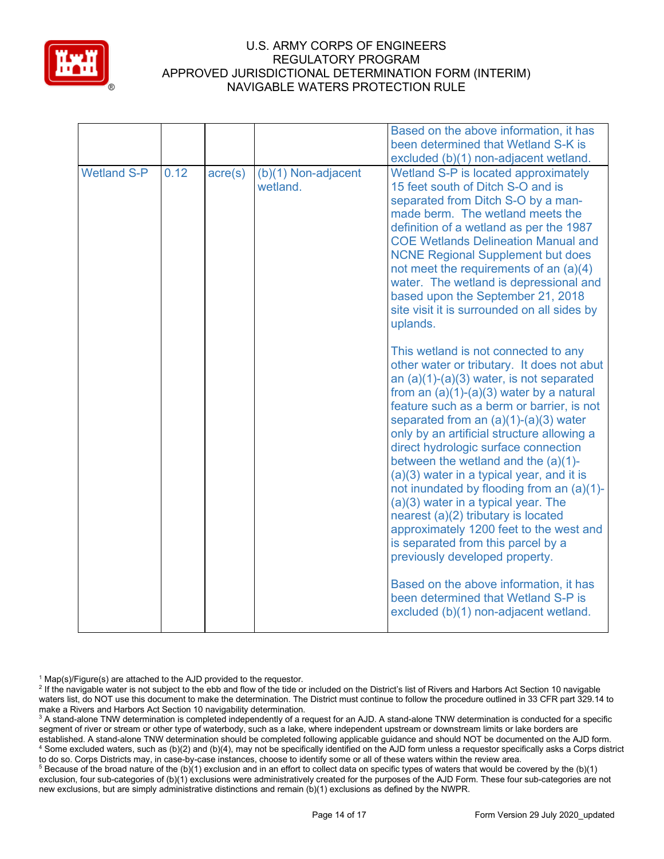

|                    |      |                  |                                 | Based on the above information, it has<br>been determined that Wetland S-K is<br>excluded (b)(1) non-adjacent wetland.                                                                                                                                                                                                                                                                                                                                                                                                                                                                                                                                                                                                                                                                                                                                                                                                                                                                                                                                                                                                                                                                                                                                                                                      |
|--------------------|------|------------------|---------------------------------|-------------------------------------------------------------------------------------------------------------------------------------------------------------------------------------------------------------------------------------------------------------------------------------------------------------------------------------------------------------------------------------------------------------------------------------------------------------------------------------------------------------------------------------------------------------------------------------------------------------------------------------------------------------------------------------------------------------------------------------------------------------------------------------------------------------------------------------------------------------------------------------------------------------------------------------------------------------------------------------------------------------------------------------------------------------------------------------------------------------------------------------------------------------------------------------------------------------------------------------------------------------------------------------------------------------|
| <b>Wetland S-P</b> | 0.12 | $\text{acre}(s)$ | (b)(1) Non-adjacent<br>wetland. | Wetland S-P is located approximately<br>15 feet south of Ditch S-O and is<br>separated from Ditch S-O by a man-<br>made berm. The wetland meets the<br>definition of a wetland as per the 1987<br><b>COE Wetlands Delineation Manual and</b><br><b>NCNE Regional Supplement but does</b><br>not meet the requirements of an (a)(4)<br>water. The wetland is depressional and<br>based upon the September 21, 2018<br>site visit it is surrounded on all sides by<br>uplands.<br>This wetland is not connected to any<br>other water or tributary. It does not abut<br>an $(a)(1)-(a)(3)$ water, is not separated<br>from an $(a)(1)-(a)(3)$ water by a natural<br>feature such as a berm or barrier, is not<br>separated from an $(a)(1)-(a)(3)$ water<br>only by an artificial structure allowing a<br>direct hydrologic surface connection<br>between the wetland and the $(a)(1)$ -<br>(a)(3) water in a typical year, and it is<br>not inundated by flooding from an (a)(1)-<br>(a)(3) water in a typical year. The<br>nearest (a)(2) tributary is located<br>approximately 1200 feet to the west and<br>is separated from this parcel by a<br>previously developed property.<br>Based on the above information, it has<br>been determined that Wetland S-P is<br>excluded (b)(1) non-adjacent wetland. |
|                    |      |                  |                                 |                                                                                                                                                                                                                                                                                                                                                                                                                                                                                                                                                                                                                                                                                                                                                                                                                                                                                                                                                                                                                                                                                                                                                                                                                                                                                                             |

 $1$  Map(s)/Figure(s) are attached to the AJD provided to the requestor.

<sup>2</sup> If the navigable water is not subject to the ebb and flow of the tide or included on the District's list of Rivers and Harbors Act Section 10 navigable waters list, do NOT use this document to make the determination. The District must continue to follow the procedure outlined in 33 CFR part 329.14 to make a Rivers and Harbors Act Section 10 navigability determination.

<sup>3</sup> A stand-alone TNW determination is completed independently of a request for an AJD. A stand-alone TNW determination is conducted for a specific segment of river or stream or other type of waterbody, such as a lake, where independent upstream or downstream limits or lake borders are established. A stand-alone TNW determination should be completed following applicable guidance and should NOT be documented on the AJD form. <sup>4</sup> Some excluded waters, such as (b)(2) and (b)(4), may not be specifically identified on the AJD form unless a requestor specifically asks a Corps district to do so. Corps Districts may, in case-by-case instances, choose to identify some or all of these waters within the review area.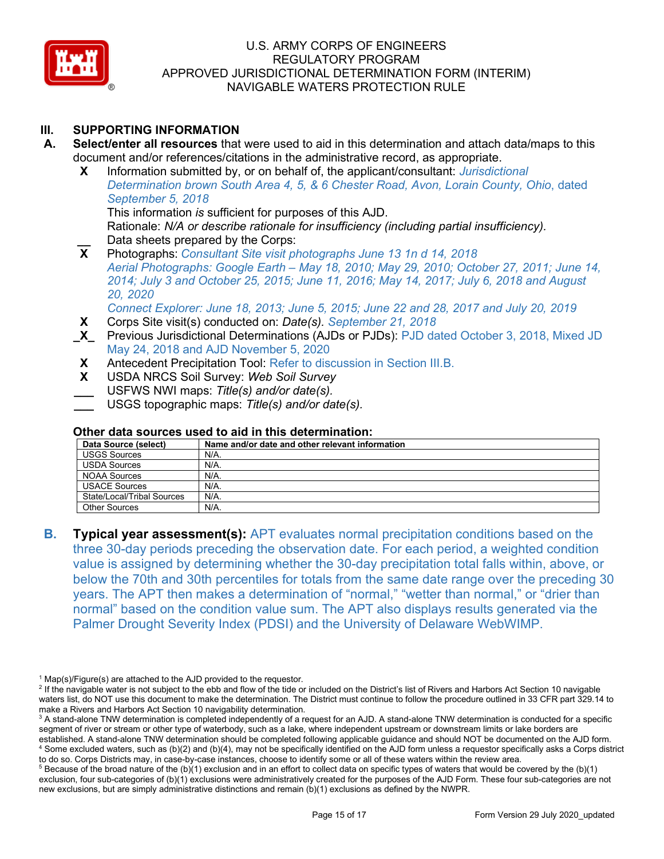

# **III. SUPPORTING INFORMATION**

- **A. Select/enter all resources** that were used to aid in this determination and attach data/maps to this document and/or references/citations in the administrative record, as appropriate.
	- **X** Information submitted by, or on behalf of, the applicant/consultant: *Jurisdictional Determination brown South Area 4, 5, & 6 Chester Road, Avon, Lorain County, Ohio*, dated *September 5, 2018*

This information *is* sufficient for purposes of this AJD. Rationale: *N/A or describe rationale for insufficiency (including partial insufficiency).*

**Lack Data sheets prepared by the Corps:**<br>**X** Photographs: Consultant Site visit p **X** Photographs: *Consultant Site visit photographs June 13 1n d 14, 2018 Aerial Photographs: Google Earth – May 18, 2010; May 29, 2010; October 27, 2011; June 14, 2014; July 3 and October 25, 2015; June 11, 2016; May 14, 2017; July 6, 2018 and August 20, 2020*

*Connect Explorer: June 18, 2013; June 5, 2015; June 22 and 28, 2017 and July 20, 2019*

- **X** Corps Site visit(s) conducted on: *Date(s). September 21, 2018*
- **\_X\_** Previous Jurisdictional Determinations (AJDs or PJDs): PJD dated October 3, 2018, Mixed JD May 24, 2018 and AJD November 5, 2020
- **X** Antecedent Precipitation Tool: Refer to discussion in Section III.B.
- **X** USDA NRCS Soil Survey: *Web Soil Survey*
- **\_\_\_** USFWS NWI maps: *Title(s) and/or date(s).*
- **\_\_\_** USGS topographic maps: *Title(s) and/or date(s).*

#### **Other data sources used to aid in this determination:**

| Data Source (select)       | Name and/or date and other relevant information |
|----------------------------|-------------------------------------------------|
| <b>USGS Sources</b>        | N/A.                                            |
| <b>USDA Sources</b>        | N/A.                                            |
| NOAA Sources               | N/A.                                            |
| <b>USACE Sources</b>       | N/A.                                            |
| State/Local/Tribal Sources | N/A.                                            |
| <b>Other Sources</b>       | N/A.                                            |

**B. Typical year assessment(s):** APT evaluates normal precipitation conditions based on the three 30-day periods preceding the observation date. For each period, a weighted condition value is assigned by determining whether the 30-day precipitation total falls within, above, or below the 70th and 30th percentiles for totals from the same date range over the preceding 30 years. The APT then makes a determination of "normal," "wetter than normal," or "drier than normal" based on the condition value sum. The APT also displays results generated via the Palmer Drought Severity Index (PDSI) and the University of Delaware WebWIMP.

 $1$  Map(s)/Figure(s) are attached to the AJD provided to the requestor.

<sup>&</sup>lt;sup>2</sup> If the navigable water is not subject to the ebb and flow of the tide or included on the District's list of Rivers and Harbors Act Section 10 navigable waters list, do NOT use this document to make the determination. The District must continue to follow the procedure outlined in 33 CFR part 329.14 to make a Rivers and Harbors Act Section 10 navigability determination.

<sup>&</sup>lt;sup>3</sup> A stand-alone TNW determination is completed independently of a request for an AJD. A stand-alone TNW determination is conducted for a specific segment of river or stream or other type of waterbody, such as a lake, where independent upstream or downstream limits or lake borders are established. A stand-alone TNW determination should be completed following applicable guidance and should NOT be documented on the AJD form. <sup>4</sup> Some excluded waters, such as (b)(2) and (b)(4), may not be specifically identified on the AJD form unless a requestor specifically asks a Corps district to do so. Corps Districts may, in case-by-case instances, choose to identify some or all of these waters within the review area.

 $5$  Because of the broad nature of the (b)(1) exclusion and in an effort to collect data on specific types of waters that would be covered by the (b)(1) exclusion, four sub-categories of (b)(1) exclusions were administratively created for the purposes of the AJD Form. These four sub-categories are not new exclusions, but are simply administrative distinctions and remain (b)(1) exclusions as defined by the NWPR.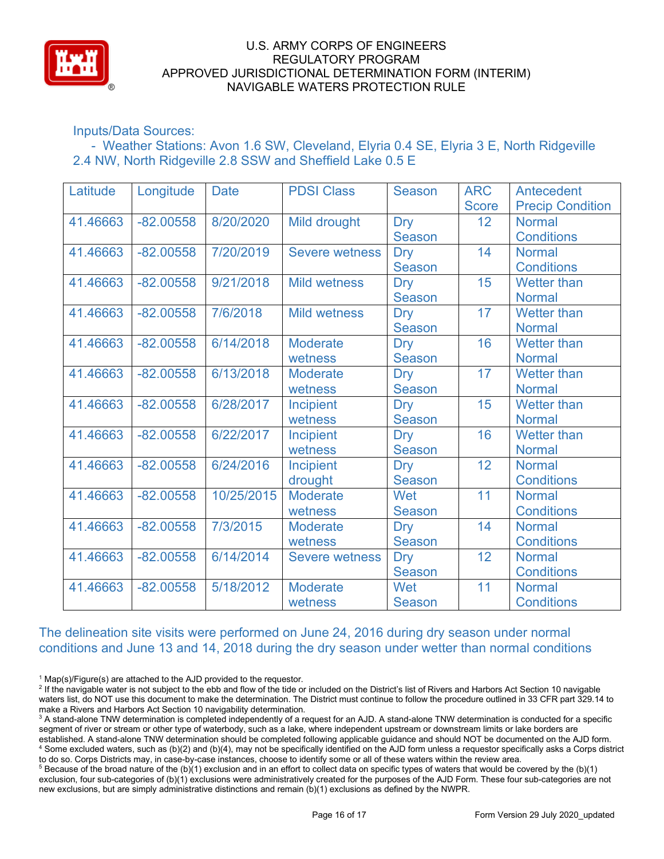

# Inputs/Data Sources:

 - Weather Stations: Avon 1.6 SW, Cleveland, Elyria 0.4 SE, Elyria 3 E, North Ridgeville 2.4 NW, North Ridgeville 2.8 SSW and Sheffield Lake 0.5 E

| Latitude | Longitude   | <b>Date</b> | <b>PDSI Class</b>     | <b>Season</b> | <b>ARC</b>      | Antecedent              |
|----------|-------------|-------------|-----------------------|---------------|-----------------|-------------------------|
|          |             |             |                       |               | <b>Score</b>    | <b>Precip Condition</b> |
| 41.46663 | $-82.00558$ | 8/20/2020   | Mild drought          | <b>Dry</b>    | 12 <sup>°</sup> | <b>Normal</b>           |
|          |             |             |                       | <b>Season</b> |                 | <b>Conditions</b>       |
| 41.46663 | $-82.00558$ | 7/20/2019   | <b>Severe wetness</b> | <b>Dry</b>    | 14              | <b>Normal</b>           |
|          |             |             |                       | <b>Season</b> |                 | <b>Conditions</b>       |
| 41.46663 | $-82.00558$ | 9/21/2018   | <b>Mild wetness</b>   | <b>Dry</b>    | 15              | <b>Wetter than</b>      |
|          |             |             |                       | <b>Season</b> |                 | <b>Normal</b>           |
| 41.46663 | $-82.00558$ | 7/6/2018    | <b>Mild wetness</b>   | <b>Dry</b>    | 17              | <b>Wetter than</b>      |
|          |             |             |                       | <b>Season</b> |                 | <b>Normal</b>           |
| 41.46663 | $-82.00558$ | 6/14/2018   | <b>Moderate</b>       | <b>Dry</b>    | 16              | <b>Wetter than</b>      |
|          |             |             | wetness               | <b>Season</b> |                 | <b>Normal</b>           |
| 41.46663 | $-82.00558$ | 6/13/2018   | <b>Moderate</b>       | <b>Dry</b>    | 17              | <b>Wetter than</b>      |
|          |             |             | wetness               | <b>Season</b> |                 | <b>Normal</b>           |
| 41.46663 | $-82.00558$ | 6/28/2017   | Incipient             | Dry           | 15              | Wetter than             |
|          |             |             | wetness               | <b>Season</b> |                 | <b>Normal</b>           |
| 41.46663 | $-82.00558$ | 6/22/2017   | Incipient             | Dry           | 16              | <b>Wetter than</b>      |
|          |             |             | wetness               | <b>Season</b> |                 | <b>Normal</b>           |
| 41.46663 | $-82.00558$ | 6/24/2016   | <b>Incipient</b>      | <b>Dry</b>    | 12              | <b>Normal</b>           |
|          |             |             | drought               | <b>Season</b> |                 | <b>Conditions</b>       |
| 41.46663 | $-82.00558$ | 10/25/2015  | <b>Moderate</b>       | Wet           | 11              | <b>Normal</b>           |
|          |             |             | wetness               | <b>Season</b> |                 | <b>Conditions</b>       |
| 41.46663 | $-82.00558$ | 7/3/2015    | <b>Moderate</b>       | <b>Dry</b>    | 14              | <b>Normal</b>           |
|          |             |             | wetness               | <b>Season</b> |                 | <b>Conditions</b>       |
| 41.46663 | $-82.00558$ | 6/14/2014   | <b>Severe wetness</b> | <b>Dry</b>    | 12              | <b>Normal</b>           |
|          |             |             |                       | <b>Season</b> |                 | <b>Conditions</b>       |
| 41.46663 | $-82.00558$ | 5/18/2012   | <b>Moderate</b>       | Wet           | 11              | <b>Normal</b>           |
|          |             |             | wetness               | <b>Season</b> |                 | <b>Conditions</b>       |

The delineation site visits were performed on June 24, 2016 during dry season under normal conditions and June 13 and 14, 2018 during the dry season under wetter than normal conditions

 $1$  Map(s)/Figure(s) are attached to the AJD provided to the requestor.

<sup>&</sup>lt;sup>2</sup> If the navigable water is not subject to the ebb and flow of the tide or included on the District's list of Rivers and Harbors Act Section 10 navigable waters list, do NOT use this document to make the determination. The District must continue to follow the procedure outlined in 33 CFR part 329.14 to make a Rivers and Harbors Act Section 10 navigability determination.

<sup>&</sup>lt;sup>3</sup> A stand-alone TNW determination is completed independently of a request for an AJD. A stand-alone TNW determination is conducted for a specific segment of river or stream or other type of waterbody, such as a lake, where independent upstream or downstream limits or lake borders are established. A stand-alone TNW determination should be completed following applicable guidance and should NOT be documented on the AJD form. <sup>4</sup> Some excluded waters, such as (b)(2) and (b)(4), may not be specifically identified on the AJD form unless a requestor specifically asks a Corps district to do so. Corps Districts may, in case-by-case instances, choose to identify some or all of these waters within the review area.

 $5$  Because of the broad nature of the (b)(1) exclusion and in an effort to collect data on specific types of waters that would be covered by the (b)(1) exclusion, four sub-categories of (b)(1) exclusions were administratively created for the purposes of the AJD Form. These four sub-categories are not new exclusions, but are simply administrative distinctions and remain (b)(1) exclusions as defined by the NWPR.